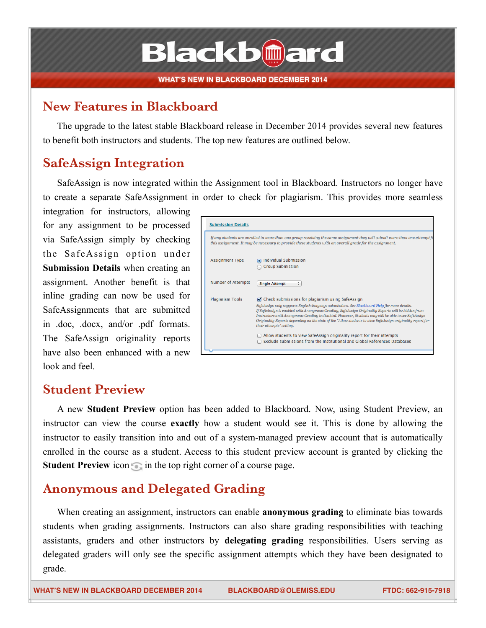# **Blackbmard**

#### **New Features in Blackboard**

The upgrade to the latest stable Blackboard release in December 2014 provides several new features to benefit both instructors and students. The top new features are outlined below.

### **SafeAssign Integration**

SafeAssign is now integrated within the Assignment tool in Blackboard. Instructors no longer have to create a separate SafeAssignment in order to check for plagiarism. This provides more seamless

integration for instructors, allowing for any assignment to be processed via SafeAssign simply by checking the SafeAssign option under **Submission Details** when creating an assignment. Another benefit is that inline grading can now be used for SafeAssignments that are submitted in .doc, .docx, and/or .pdf formats. The SafeAssign originality reports have also been enhanced with a new look and feel

| <b>Submission Details</b> |                                                                                                                                                                                                                                                                                                                                                                                                                                                                                                                                                                                                                                                                          |
|---------------------------|--------------------------------------------------------------------------------------------------------------------------------------------------------------------------------------------------------------------------------------------------------------------------------------------------------------------------------------------------------------------------------------------------------------------------------------------------------------------------------------------------------------------------------------------------------------------------------------------------------------------------------------------------------------------------|
|                           | If any students are enrolled in more than one group receiving the same assignment they will submit more than one attempt fo<br>this assignment. It may be necessary to provide these students with an overall grade for the assignment.                                                                                                                                                                                                                                                                                                                                                                                                                                  |
| <b>Assignment Type</b>    | individual Submission<br><b>Group Submission</b>                                                                                                                                                                                                                                                                                                                                                                                                                                                                                                                                                                                                                         |
| <b>Number of Attempts</b> | <b>Single Attempt</b><br>÷                                                                                                                                                                                                                                                                                                                                                                                                                                                                                                                                                                                                                                               |
| <b>Plagiarism Tools</b>   | O Check submissions for plagiarism using SafeAssign<br>SafeAssign only supports English-language submissions. See Blackboard Help for more details.<br>If SafeAssign is enabled with Anonymous Grading, SafeAssign Originality Reports will be hidden from<br>Instructors until Anonymous Grading is disabled. However, Students may still be able to see SafeAssign<br>Originality Reports depending on the state of the "Allow students to view SafeAssign originality report for<br>their attempts" setting.<br>Allow students to view SafeAssign originality report for their attempts<br>Exclude submissions from the Institutional and Global References Databases |

#### **Student Preview**

A new **Student Preview** option has been added to Blackboard. Now, using Student Preview, an instructor can view the course **exactly** how a student would see it. This is done by allowing the instructor to easily transition into and out of a system-managed preview account that is automatically enrolled in the course as a student. Access to this student preview account is granted by clicking the **Student Preview** icon in the top right corner of a course page.

### **Anonymous and Delegated Grading**

When creating an assignment, instructors can enable **anonymous grading** to eliminate bias towards students when grading assignments. Instructors can also share grading responsibilities with teaching assistants, graders and other instructors by **delegating grading** responsibilities. Users serving as delegated graders will only see the specific assignment attempts which they have been designated to grade.